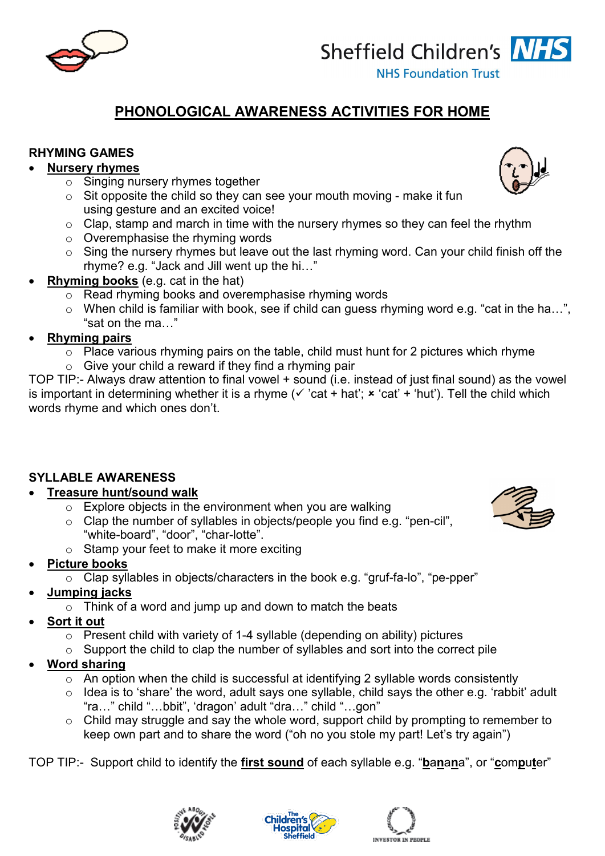

# **PHONOLOGICAL AWARENESS ACTIVITIES FOR HOME**

#### **RHYMING GAMES**

#### • **Nursery rhymes**

- o Singing nursery rhymes together
- $\circ$  Sit opposite the child so they can see your mouth moving make it fun using gesture and an excited voice!
- o Clap, stamp and march in time with the nursery rhymes so they can feel the rhythm
- o Overemphasise the rhyming words
- $\circ$  Sing the nursery rhymes but leave out the last rhyming word. Can your child finish off the rhyme? e.g. "Jack and Jill went up the hi…"
- **Rhyming books** (e.g. cat in the hat)
	- o Read rhyming books and overemphasise rhyming words
	- o When child is familiar with book, see if child can guess rhyming word e.g. "cat in the ha…", "sat on the ma…"

#### • **Rhyming pairs**

- $\circ$  Place various rhyming pairs on the table, child must hunt for 2 pictures which rhyme
- $\circ$  Give your child a reward if they find a rhyming pair

TOP TIP:- Always draw attention to final vowel + sound (i.e. instead of just final sound) as the vowel is important in determining whether it is a rhyme ( $\checkmark$  'cat + hat';  $\checkmark$  'cat' + 'hut'). Tell the child which words rhyme and which ones don't.

## **SYLLABLE AWARENESS**

## • **Treasure hunt/sound walk**

- $\circ$  Explore objects in the environment when you are walking
- o Clap the number of syllables in objects/people you find e.g. "pen-cil", "white-board", "door", "char-lotte".
- o Stamp your feet to make it more exciting

## • **Picture books**

- o Clap syllables in objects/characters in the book e.g. "gruf-fa-lo", "pe-pper"
- **Jumping jacks**
	- $\circ$  Think of a word and jump up and down to match the beats
- **Sort it out**
	- o Present child with variety of 1-4 syllable (depending on ability) pictures
	- $\circ$  Support the child to clap the number of syllables and sort into the correct pile
- **Word sharing** 
	- $\circ$  An option when the child is successful at identifying 2 syllable words consistently
	- $\circ$  Idea is to 'share' the word, adult says one syllable, child says the other e.g. 'rabbit' adult "ra…" child "…bbit", 'dragon' adult "dra…" child "…gon"
	- o Child may struggle and say the whole word, support child by prompting to remember to keep own part and to share the word ("oh no you stole my part! Let's try again")

TOP TIP:- Support child to identify the **first sound** of each syllable e.g. "**b**a**n**a**n**a", or "**c**om**p**u**t**er"